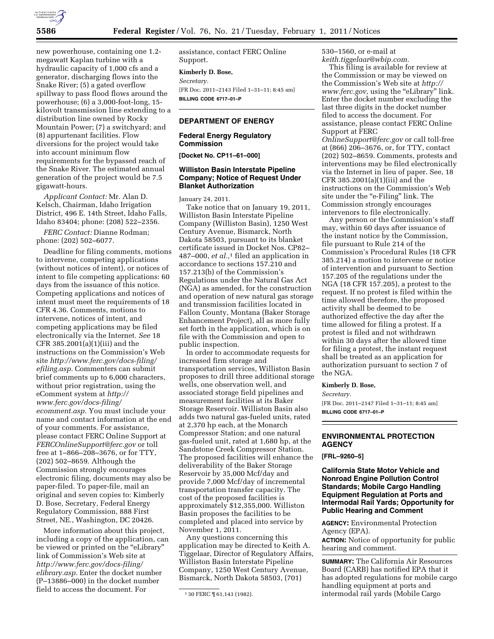

new powerhouse, containing one 1.2 megawatt Kaplan turbine with a hydraulic capacity of 1,000 cfs and a generator, discharging flows into the Snake River; (5) a gated overflow spillway to pass flood flows around the powerhouse; (6) a 3,000-foot-long, 15 kilovolt transmission line extending to a distribution line owned by Rocky Mountain Power; (7) a switchyard; and (8) appurtenant facilities. Flow diversions for the project would take into account minimum flow requirements for the bypassed reach of the Snake River. The estimated annual generation of the project would be 7.5 gigawatt-hours.

*Applicant Contact:* Mr. Alan D. Kelsch, Chairman, Idaho Irrigation District, 496 E. 14th Street, Idaho Falls, Idaho 83404; phone: (208) 522–2356.

*FERC Contact:* Dianne Rodman; phone: (202) 502–6077.

Deadline for filing comments, motions to intervene, competing applications (without notices of intent), or notices of intent to file competing applications: 60 days from the issuance of this notice. Competing applications and notices of intent must meet the requirements of 18 CFR 4.36. Comments, motions to intervene, notices of intent, and competing applications may be filed electronically via the Internet. *See* 18 CFR 385.2001(a)(1)(iii) and the instructions on the Commission's Web site *[http://www.ferc.gov/docs-filing/](http://www.ferc.gov/docs-filing/efiling.asp) [efiling.asp.](http://www.ferc.gov/docs-filing/efiling.asp)* Commenters can submit brief comments up to 6,000 characters, without prior registration, using the eComment system at *[http://](http://www.ferc.gov/docs-filing/ecomment.asp) [www.ferc.gov/docs-filing/](http://www.ferc.gov/docs-filing/ecomment.asp)  [ecomment.asp.](http://www.ferc.gov/docs-filing/ecomment.asp)* You must include your name and contact information at the end of your comments. For assistance, please contact FERC Online Support at *[FERCOnlineSupport@ferc.gov](mailto:FERCOnlineSupport@ferc.gov)* or toll free at 1–866–208–3676, or for TTY, (202) 502–8659. Although the Commission strongly encourages electronic filing, documents may also be paper-filed. To paper-file, mail an original and seven copies to: Kimberly D. Bose, Secretary, Federal Energy Regulatory Commission, 888 First Street, NE., Washington, DC 20426.

More information about this project, including a copy of the application, can be viewed or printed on the "eLibrary" link of Commission's Web site at *[http://www.ferc.gov/docs-filing/](http://www.ferc.gov/docs-filing/elibrary.asp) [elibrary.asp.](http://www.ferc.gov/docs-filing/elibrary.asp)* Enter the docket number (P–13886–000) in the docket number field to access the document. For

assistance, contact FERC Online Support.

## **Kimberly D. Bose,**

*Secretary.*  [FR Doc. 2011–2143 Filed 1–31–11; 8:45 am] **BILLING CODE 6717–01–P** 

# **DEPARTMENT OF ENERGY**

### **Federal Energy Regulatory Commission**

**[Docket No. CP11–61–000]** 

## **Williston Basin Interstate Pipeline Company; Notice of Request Under Blanket Authorization**

January 24, 2011.

Take notice that on January 19, 2011, Williston Basin Interstate Pipeline Company (Williston Basin), 1250 West Century Avenue, Bismarck, North Dakota 58503, pursuant to its blanket certificate issued in Docket Nos. CP82– 487–000, *et al.,*1 filed an application in accordance to sections 157.210 and 157.213(b) of the Commission's Regulations under the Natural Gas Act (NGA) as amended, for the construction and operation of new natural gas storage and transmission facilities located in Fallon County, Montana (Baker Storage Enhancement Project), all as more fully set forth in the application, which is on file with the Commission and open to public inspection.

In order to accommodate requests for increased firm storage and transportation services, Williston Basin proposes to drill three additional storage wells, one observation well, and associated storage field pipelines and measurement facilities at its Baker Storage Reservoir. Williston Basin also adds two natural gas-fueled units, rated at 2,370 hp each, at the Monarch Compressor Station; and one natural gas-fueled unit, rated at 1,680 hp, at the Sandstone Creek Compressor Station. The proposed facilities will enhance the deliverability of the Baker Storage Reservoir by 35,000 Mcf/day and provide 7,000 Mcf/day of incremental transportation transfer capacity. The cost of the proposed facilities is approximately \$12,355,000. Williston Basin proposes the facilities to be completed and placed into service by November 1, 2011.

Any questions concerning this application may be directed to Keith A. Tiggelaar, Director of Regulatory Affairs, Williston Basin Interstate Pipeline Company, 1250 West Century Avenue, Bismarck, North Dakota 58503, (701)

530–1560, or e-mail at *[keith.tiggelaar@wbip.com.](mailto:keith.tiggelaar@wbip.com)* 

This filing is available for review at the Commission or may be viewed on the Commission's Web site at *[http://](http://www.ferc.gov) www.ferc.gov,* using the "eLibrary" link. Enter the docket number excluding the last three digits in the docket number filed to access the document. For assistance, please contact FERC Online Support at FERC

*[OnlineSupport@ferc.gov](mailto:OnlineSupport@ferc.gov)* or call toll-free at (866) 206–3676, or, for TTY, contact (202) 502–8659. Comments, protests and interventions may be filed electronically via the Internet in lieu of paper. See, 18 CFR 385.2001(a)(1)(iii) and the instructions on the Commission's Web site under the "e-Filing" link. The Commission strongly encourages intervenors to file electronically.

Any person or the Commission's staff may, within 60 days after issuance of the instant notice by the Commission, file pursuant to Rule 214 of the Commission's Procedural Rules (18 CFR 385.214) a motion to intervene or notice of intervention and pursuant to Section 157.205 of the regulations under the NGA (18 CFR 157.205), a protest to the request. If no protest is filed within the time allowed therefore, the proposed activity shall be deemed to be authorized effective the day after the time allowed for filing a protest. If a protest is filed and not withdrawn within 30 days after the allowed time for filing a protest, the instant request shall be treated as an application for authorization pursuant to section 7 of the NGA.

#### **Kimberly D. Bose,**

*Secretary.* 

[FR Doc. 2011–2147 Filed 1–31–11; 8:45 am] **BILLING CODE 6717–01–P** 

# **ENVIRONMENTAL PROTECTION AGENCY**

**[FRL–9260–5]** 

## **California State Motor Vehicle and Nonroad Engine Pollution Control Standards; Mobile Cargo Handling Equipment Regulation at Ports and Intermodal Rail Yards; Opportunity for Public Hearing and Comment**

**AGENCY:** Environmental Protection Agency (EPA).

**ACTION:** Notice of opportunity for public hearing and comment.

**SUMMARY:** The California Air Resources Board (CARB) has notified EPA that it has adopted regulations for mobile cargo handling equipment at ports and intermodal rail yards (Mobile Cargo

<sup>1</sup> 30 FERC ¶ 61,143 (1982).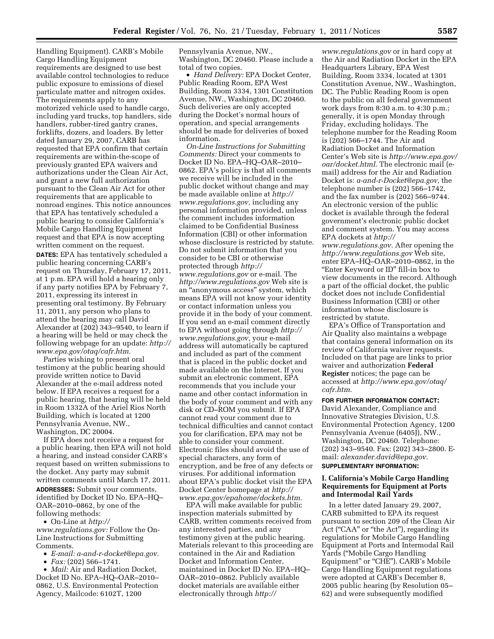Handling Equipment). CARB's Mobile Cargo Handling Equipment requirements are designed to use best available control technologies to reduce public exposure to emissions of diesel particulate matter and nitrogen oxides. The requirements apply to any motorized vehicle used to handle cargo, including yard trucks, top handlers, side handlers, rubber-tired gantry cranes, forklifts, dozers, and loaders. By letter dated January 29, 2007, CARB has requested that EPA confirm that certain requirements are within-the-scope of previously granted EPA waivers and authorizations under the Clean Air Act, and grant a new full authorization pursuant to the Clean Air Act for other requirements that are applicable to nonroad engines. This notice announces that EPA has tentatively scheduled a public hearing to consider California's Mobile Cargo Handling Equipment request and that EPA is now accepting written comment on the request.

**DATES:** EPA has tentatively scheduled a public hearing concerning CARB's request on Thursday, February 17, 2011, at 1 p.m. EPA will hold a hearing only if any party notifies EPA by February 7, 2011, expressing its interest in presenting oral testimony. By February 11, 2011, any person who plans to attend the hearing may call David Alexander at (202) 343–9540, to learn if a hearing will be held or may check the following webpage for an update: *[http://](http://www.epa.gov/otaq/cafr.htm)  [www.epa.gov/otaq/cafr.htm.](http://www.epa.gov/otaq/cafr.htm)* 

Parties wishing to present oral testimony at the public hearing should provide written notice to David Alexander at the e-mail address noted below. If EPA receives a request for a public hearing, that hearing will be held in Room 1332A of the Ariel Rios North Building, which is located at 1200 Pennsylvania Avenue, NW., Washington, DC 20004.

If EPA does not receive a request for a public hearing, then EPA will not hold a hearing, and instead consider CARB's request based on written submissions to the docket. Any party may submit written comments until March 17, 2011. **ADDRESSES:** Submit your comments, identified by Docket ID No. EPA–HQ– OAR–2010–0862, by one of the following methods:

• On-Line at *[http://](http://www.regulations.gov) [www.regulations.gov:](http://www.regulations.gov)* Follow the On-Line Instructions for Submitting Comments.

- *E-mail: [a-and-r-docket@epa.gov.](mailto:a-and-r-docket@epa.gov)*
- *Fax:* (202) 566–1741.

• *Mail:* Air and Radiation Docket, Docket ID No. EPA–HQ–OAR–2010– 0862, U.S. Environmental Protection Agency, Mailcode: 6102T, 1200

Pennsylvania Avenue, NW., Washington, DC 20460. Please include a total of two copies.

• *Hand Delivery:* EPA Docket Center, Public Reading Room, EPA West Building, Room 3334, 1301 Constitution Avenue, NW., Washington, DC 20460. Such deliveries are only accepted during the Docket's normal hours of operation, and special arrangements should be made for deliveries of boxed information.

*On-Line Instructions for Submitting Comments:* Direct your comments to Docket ID No. EPA–HQ–OAR–2010– 0862. EPA's policy is that all comments we receive will be included in the public docket without change and may be made available online at *[http://](http://www.regulations.gov)  [www.regulations.gov,](http://www.regulations.gov)* including any personal information provided, unless the comment includes information claimed to be Confidential Business Information (CBI) or other information whose disclosure is restricted by statute. Do not submit information that you consider to be CBI or otherwise protected through *[http://](http://www.regulations.gov)  [www.regulations.gov](http://www.regulations.gov)* or e-mail. The *<http://www.regulations.gov>* Web site is an ''anonymous access'' system, which means EPA will not know your identity or contact information unless you provide it in the body of your comment. If you send an e-mail comment directly to EPA without going through *[http://](http://www.regulations.gov) [www.regulations.gov,](http://www.regulations.gov)* your e-mail address will automatically be captured and included as part of the comment that is placed in the public docket and made available on the Internet. If you submit an electronic comment, EPA recommends that you include your name and other contact information in the body of your comment and with any disk or CD–ROM you submit. If EPA cannot read your comment due to technical difficulties and cannot contact you for clarification, EPA may not be able to consider your comment. Electronic files should avoid the use of special characters, any form of encryption, and be free of any defects or viruses. For additional information about EPA's public docket visit the EPA Docket Center homepage at *[http://](http://www.epa.gov/epahome/dockets.htm) [www.epa.gov/epahome/dockets.htm.](http://www.epa.gov/epahome/dockets.htm)* 

EPA will make available for public inspection materials submitted by CARB, written comments received from any interested parties, and any testimony given at the public hearing. Materials relevant to this proceeding are contained in the Air and Radiation Docket and Information Center, maintained in Docket ID No. EPA–HQ– OAR–2010–0862. Publicly available docket materials are available either electronically through *[http://](http://www.regulations.gov)* 

*[www.regulations.gov](http://www.regulations.gov)* or in hard copy at the Air and Radiation Docket in the EPA Headquarters Library, EPA West Building, Room 3334, located at 1301 Constitution Avenue, NW., Washington, DC. The Public Reading Room is open to the public on all federal government work days from 8:30 a.m. to 4:30 p.m.; generally, it is open Monday through Friday, excluding holidays. The telephone number for the Reading Room is (202) 566–1744. The Air and Radiation Docket and Information Center's Web site is *[http://www.epa.gov/](http://www.epa.gov/oar/docket.html) [oar/docket.html.](http://www.epa.gov/oar/docket.html)* The electronic mail (email) address for the Air and Radiation Docket is: *[a-and-r-Docket@epa.gov,](mailto:a-and-r-Docket@epa.gov)* the telephone number is (202) 566–1742, and the fax number is (202) 566–9744. An electronic version of the public docket is available through the federal government's electronic public docket and comment system. You may access EPA dockets at *[http://](http://www.regulations.gov)  [www.regulations.gov.](http://www.regulations.gov)* After opening the *<http://www.regulations.gov>* Web site, enter EPA–HQ–OAR–2010–0862, in the "Enter Keyword or ID" fill-in box to view documents in the record. Although a part of the official docket, the public docket does not include Confidential Business Information (CBI) or other information whose disclosure is restricted by statute.

EPA's Office of Transportation and Air Quality also maintains a webpage that contains general information on its review of California waiver requests. Included on that page are links to prior waiver and authorization **Federal Register** notices; the page can be accessed at *[http://www.epa.gov/otaq/](http://www.epa.gov/otaq/cafr.htm)  [cafr.htm.](http://www.epa.gov/otaq/cafr.htm)* 

## **FOR FURTHER INFORMATION CONTACT:**

David Alexander, Compliance and Innovative Strategies Division, U.S. Environmental Protection Agency, 1200 Pennsylvania Avenue (6405J), NW., Washington, DC 20460. Telephone: (202) 343–9540. Fax: (202) 343–2800. Email: *[alexander.david@epa.gov.](mailto:alexander.david@epa.gov)*  **SUPPLEMENTARY INFORMATION:** 

#### **I. California's Mobile Cargo Handling Requirements for Equipment at Ports and Intermodal Rail Yards**

In a letter dated January 29, 2007, CARB submitted to EPA its request pursuant to section 209 of the Clean Air Act ("CAA" or "the Act"), regarding its regulations for Mobile Cargo Handling Equipment at Ports and Intermodal Rail Yards (''Mobile Cargo Handling Equipment" or "CHE"). CARB's Mobile Cargo Handling Equipment regulations were adopted at CARB's December 8, 2005 public hearing (by Resolution 05– 62) and were subsequently modified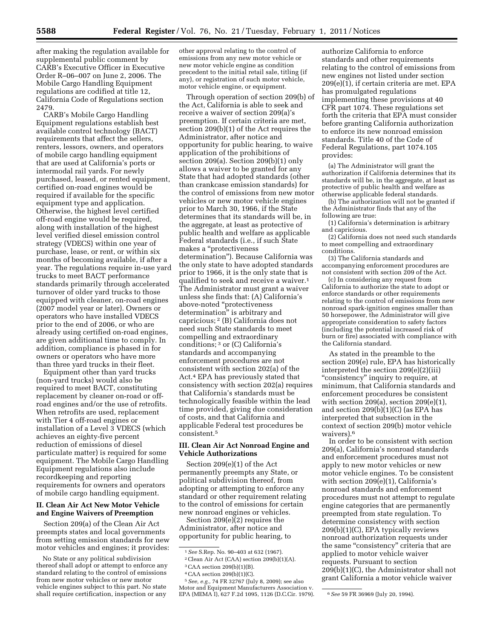after making the regulation available for supplemental public comment by CARB's Executive Officer in Executive Order R–06–007 on June 2, 2006. The Mobile Cargo Handling Equipment regulations are codified at title 12, California Code of Regulations section 2479.

CARB's Mobile Cargo Handling Equipment regulations establish best available control technology (BACT) requirements that affect the sellers, renters, lessors, owners, and operators of mobile cargo handling equipment that are used at California's ports or intermodal rail yards. For newly purchased, leased, or rented equipment, certified on-road engines would be required if available for the specific equipment type and application. Otherwise, the highest level certified off-road engine would be required, along with installation of the highest level verified diesel emission control strategy (VDECS) within one year of purchase, lease, or rent, or within six months of becoming available, if after a year. The regulations require in-use yard trucks to meet BACT performance standards primarily through accelerated turnover of older yard trucks to those equipped with cleaner, on-road engines (2007 model year or later). Owners or operators who have installed VDECS prior to the end of 2006, or who are already using certified on-road engines, are given additional time to comply. In addition, compliance is phased in for owners or operators who have more than three yard trucks in their fleet.

Equipment other than yard trucks (non-yard trucks) would also be required to meet BACT, constituting replacement by cleaner on-road or offroad engines and/or the use of retrofits. When retrofits are used, replacement with Tier 4 off-road engines or installation of a Level 3 VDECS (which achieves an eighty-five percent reduction of emissions of diesel particulate matter) is required for some equipment. The Mobile Cargo Handling Equipment regulations also include recordkeeping and reporting requirements for owners and operators of mobile cargo handling equipment.

# **II. Clean Air Act New Motor Vehicle and Engine Waivers of Preemption**

Section 209(a) of the Clean Air Act preempts states and local governments from setting emission standards for new motor vehicles and engines; it provides: other approval relating to the control of emissions from any new motor vehicle or new motor vehicle engine as condition precedent to the initial retail sale, titling (if any), or registration of such motor vehicle, motor vehicle engine, or equipment.

Through operation of section 209(b) of the Act, California is able to seek and receive a waiver of section 209(a)'s preemption. If certain criteria are met, section 209(b)(1) of the Act requires the Administrator, after notice and opportunity for public hearing, to waive application of the prohibitions of section 209(a). Section 209(b)(1) only allows a waiver to be granted for any State that had adopted standards (other than crankcase emission standards) for the control of emissions from new motor vehicles or new motor vehicle engines prior to March 30, 1966, if the State determines that its standards will be, in the aggregate, at least as protective of public health and welfare as applicable Federal standards (i.e., if such State makes a ''protectiveness determination''). Because California was the only state to have adopted standards prior to 1966, it is the only state that is qualified to seek and receive a waiver.1 The Administrator must grant a waiver unless she finds that: (A) California's above-noted ''protectiveness determination'' is arbitrary and capricious; 2 (B) California does not need such State standards to meet compelling and extraordinary conditions; 3 or (C) California's standards and accompanying enforcement procedures are not consistent with section 202(a) of the Act.4 EPA has previously stated that consistency with section 202(a) requires that California's standards must be technologically feasible within the lead time provided, giving due consideration of costs, and that California and applicable Federal test procedures be consistent.5

## **III. Clean Air Act Nonroad Engine and Vehicle Authorizations**

Section 209(e)(1) of the Act permanently preempts any State, or political subdivision thereof, from adopting or attempting to enforce any standard or other requirement relating to the control of emissions for certain new nonroad engines or vehicles.

Section  $209(e)(2)$  requires the Administrator, after notice and opportunity for public hearing, to authorize California to enforce standards and other requirements relating to the control of emissions from new engines not listed under section 209(e)(1), if certain criteria are met. EPA has promulgated regulations implementing these provisions at 40 CFR part 1074. These regulations set forth the criteria that EPA must consider before granting California authorization to enforce its new nonroad emission standards. Title 40 of the Code of Federal Regulations, part 1074.105 provides:

(a) The Administrator will grant the authorization if California determines that its standards will be, in the aggregate, at least as protective of public health and welfare as otherwise applicable federal standards.

(b) The authorization will not be granted if the Administrator finds that any of the following are true:

(1) California's determination is arbitrary and capricious.

(2) California does not need such standards to meet compelling and extraordinary conditions.

(3) The California standards and accompanying enforcement procedures are not consistent with section 209 of the Act.

(c) In considering any request from California to authorize the state to adopt or enforce standards or other requirements relating to the control of emissions from new nonroad spark-ignition engines smaller than 50 horsepower, the Administrator will give appropriate consideration to safety factors (including the potential increased risk of burn or fire) associated with compliance with the California standard.

As stated in the preamble to the section 209(e) rule, EPA has historically interpreted the section 209(e)(2)(iii) "consistency" inquiry to require, at minimum, that California standards and enforcement procedures be consistent with section 209(a), section  $209(e)(1)$ , and section 209(b)(1)(C) (as EPA has interpreted that subsection in the context of section 209(b) motor vehicle waivers).6

In order to be consistent with section 209(a), California's nonroad standards and enforcement procedures must not apply to new motor vehicles or new motor vehicle engines. To be consistent with section 209(e)(1), California's nonroad standards and enforcement procedures must not attempt to regulate engine categories that are permanently preempted from state regulation. To determine consistency with section 209(b)(1)(C), EPA typically reviews nonroad authorization requests under the same "consistency" criteria that are applied to motor vehicle waiver requests. Pursuant to section 209(b)(1)(C), the Administrator shall not grant California a motor vehicle waiver

No State or any political subdivision thereof shall adopt or attempt to enforce any standard relating to the control of emissions from new motor vehicles or new motor vehicle engines subject to this part. No state shall require certification, inspection or any

<sup>1</sup>*See* S.Rep. No. 90–403 at 632 (1967).

<sup>2</sup>Clean Air Act (CAA) section 209(b)(1)(A).

<sup>3</sup>CAA section 209(b)(1)(B).

<sup>4</sup>CAA section 209(b)(1)(C).

<sup>5</sup>*See, e.g.,* 74 FR 32767 (July 8, 2009); see also Motor and Equipment Manufacturers Association v. EPA (MEMA I), 627 F.2d 1095, 1126 (D.C.Cir. 1979). 6*See* 59 FR 36969 (July 20, 1994).